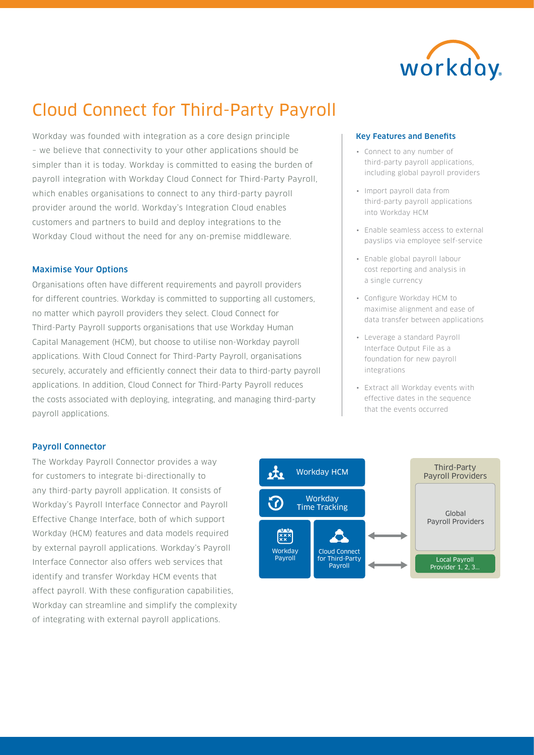

# Cloud Connect for Third-Party Payroll

Workday was founded with integration as a core design principle – we believe that connectivity to your other applications should be simpler than it is today. Workday is committed to easing the burden of payroll integration with Workday Cloud Connect for Third-Party Payroll, which enables organisations to connect to any third-party payroll provider around the world. Workday's Integration Cloud enables customers and partners to build and deploy integrations to the Workday Cloud without the need for any on-premise middleware.

## Maximise Your Options

Organisations often have different requirements and payroll providers for different countries. Workday is committed to supporting all customers, no matter which payroll providers they select. Cloud Connect for Third-Party Payroll supports organisations that use Workday Human Capital Management (HCM), but choose to utilise non-Workday payroll applications. With Cloud Connect for Third-Party Payroll, organisations securely, accurately and efficiently connect their data to third-party payroll applications. In addition, Cloud Connect for Third-Party Payroll reduces the costs associated with deploying, integrating, and managing third-party payroll applications.

## Key Features and Benefits

- Connect to any number of third-party payroll applications, including global payroll providers
- Import payroll data from third-party payroll applications into Workday HCM
- Enable seamless access to external payslips via employee self-service
- Enable global payroll labour cost reporting and analysis in a single currency
- Configure Workday HCM to maximise alignment and ease of data transfer between applications
- Leverage a standard Payroll Interface Output File as a foundation for new payroll integrations
- Extract all Workday events with effective dates in the sequence that the events occurred

## Payroll Connector

The Workday Payroll Connector provides a way for customers to integrate bi-directionally to any third-party payroll application. It consists of Workday's Payroll Interface Connector and Payroll Effective Change Interface, both of which support Workday (HCM) features and data models required by external payroll applications. Workday's Payroll Interface Connector also offers web services that identify and transfer Workday HCM events that affect payroll. With these configuration capabilities, Workday can streamline and simplify the complexity of integrating with external payroll applications.